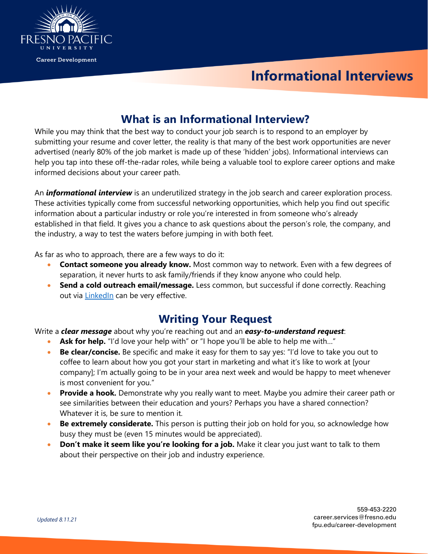

**Career Development** 

# **Informational Interviews**

## **What is an Informational Interview?**

While you may think that the best way to conduct your job search is to respond to an employer by submitting your resume and cover letter, the reality is that many of the best work opportunities are never advertised (nearly 80% of the job market is made up of these 'hidden' jobs). Informational interviews can help you tap into these off-the-radar roles, while being a valuable tool to explore career options and make informed decisions about your career path.

An *informational interview* is an underutilized strategy in the job search and career exploration process. These activities typically come from successful networking opportunities, which help you find out specific information about a particular industry or role you're interested in from someone who's already established in that field. It gives you a chance to ask questions about the person's role, the company, and the industry, a way to test the waters before jumping in with both feet.

As far as who to approach, there are a few ways to do it:

- **Contact someone you already know.** Most common way to network. Even with a few degrees of separation, it never hurts to ask family/friends if they know anyone who could help.
- **Send a cold outreach email/message.** Less common, but successful if done correctly. Reaching out via **LinkedIn** can be very effective.

### **Writing Your Request**

Write a *clear message* about why you're reaching out and an *easy-to-understand request*:

- **Ask for help.** "I'd love your help with" or "I hope you'll be able to help me with..."
- **Be clear/concise.** Be specific and make it easy for them to say yes: "I'd love to take you out to coffee to learn about how you got your start in marketing and what it's like to work at [your company]; I'm actually going to be in your area next week and would be happy to meet whenever is most convenient for you."
- **Provide a hook.** Demonstrate why you really want to meet. Maybe you admire their career path or see similarities between their education and yours? Perhaps you have a shared connection? Whatever it is, be sure to mention it.
- **Be extremely considerate.** This person is putting their job on hold for you, so acknowledge how busy they must be (even 15 minutes would be appreciated).
- **Don't make it seem like you're looking for a job.** Make it clear you just want to talk to them about their perspective on their job and industry experience.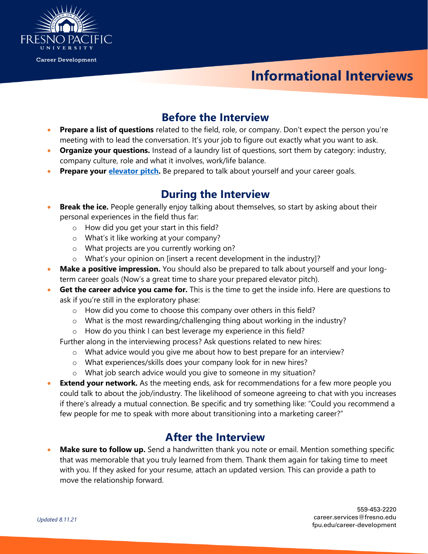

## **Informational Interviews**

#### **Before the Interview**

- **Prepare a list of questions** related to the field, role, or company. Don't expect the person you're meeting with to lead the conversation. It's your job to figure out exactly what you want to ask.
- **Organize your questions.** Instead of a laundry list of questions, sort them by category: industry, company culture, role and what it involves, work/life balance.
- **Prepare your** *elevator pitch*. Be prepared to talk about yourself and your career goals.

#### **During the Interview**

- **Break the ice.** People generally enjoy talking about themselves, so start by asking about their personal experiences in the field thus far:
	- o How did you get your start in this field?
	- o What's it like working at your company?
	- o What projects are you currently working on?
	- o What's your opinion on [insert a recent development in the industry]?
- Make a positive impression. You should also be prepared to talk about yourself and your longterm career goals (Now's a great time to share your prepared elevator pitch).
- **Get the career advice you came for.** This is the time to get the inside info. Here are questions to ask if you're still in the exploratory phase:
	- $\circ$  How did you come to choose this company over others in this field?
	- o What is the most rewarding/challenging thing about working in the industry?
	- o How do you think I can best leverage my experience in this field?

Further along in the interviewing process? Ask questions related to new hires:

- o What advice would you give me about how to best prepare for an interview?
- o What experiences/skills does your company look for in new hires?
- o What job search advice would you give to someone in my situation?
- **Extend your network.** As the meeting ends, ask for recommendations for a few more people you could talk to about the job/industry. The likelihood of someone agreeing to chat with you increases if there's already a mutual connection. Be specific and try something like: "Could you recommend a few people for me to speak with more about transitioning into a marketing career?"

#### **After the Interview**

Make sure to follow up. Send a handwritten thank you note or email. Mention something specific that was memorable that you truly learned from them. Thank them again for taking time to meet with you. If they asked for your resume, attach an updated version. This can provide a path to move the relationship forward.